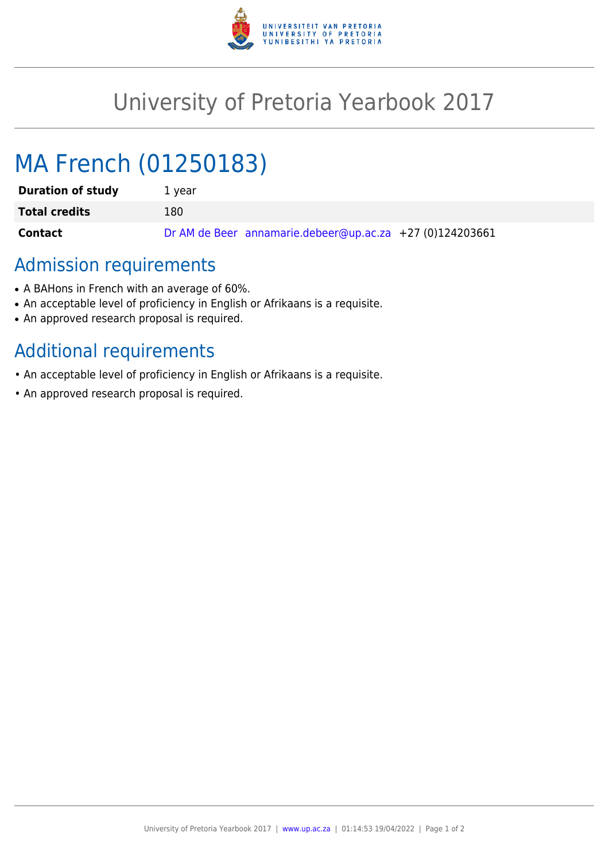

## University of Pretoria Yearbook 2017

# MA French (01250183)

| <b>Duration of study</b> | 1 vear                                                   |
|--------------------------|----------------------------------------------------------|
| <b>Total credits</b>     | 180                                                      |
| Contact                  | Dr AM de Beer annamarie.debeer@up.ac.za +27 (0)124203661 |

## Admission requirements

- A BAHons in French with an average of 60%.
- An acceptable level of proficiency in English or Afrikaans is a requisite.
- An approved research proposal is required.

## Additional requirements

- An acceptable level of proficiency in English or Afrikaans is a requisite.
- An approved research proposal is required.